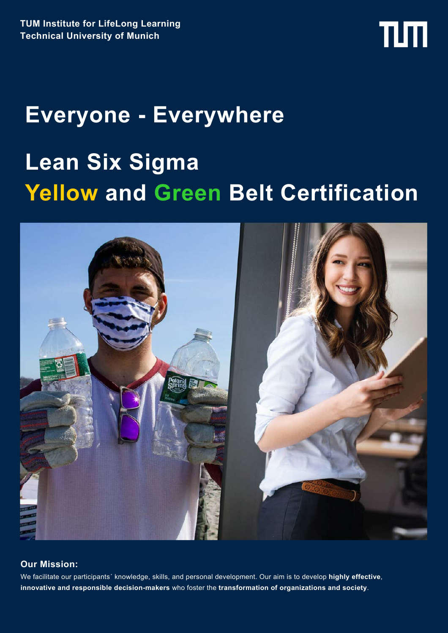# TШ

# **Everyone - Everywhere Lean Six Sigma Yellow and Green Belt Certification**



### **Our Mission:**

We facilitate our participants´ knowledge, skills, and personal development. Our aim is to develop **highly effective**, **innovative and responsible decision-makers** who foster the **transformation of organizations and society**.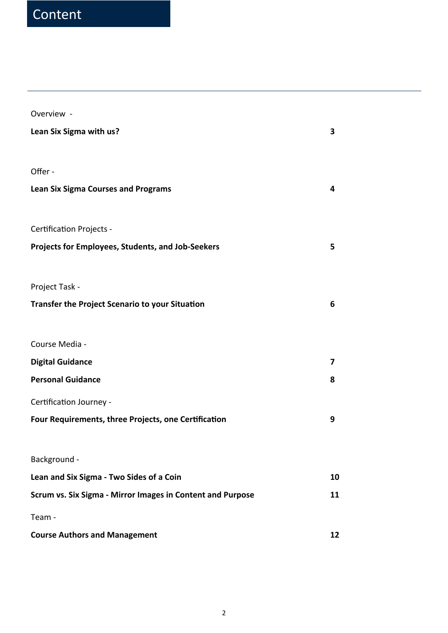# Content

Overview -

| Lean Six Sigma with us?                                    | 3  |
|------------------------------------------------------------|----|
| Offer -                                                    |    |
| <b>Lean Six Sigma Courses and Programs</b>                 | 4  |
| <b>Certification Projects -</b>                            |    |
| Projects for Employees, Students, and Job-Seekers          | 5  |
| Project Task -                                             |    |
| <b>Transfer the Project Scenario to your Situation</b>     | 6  |
| Course Media -                                             |    |
| <b>Digital Guidance</b>                                    | 7  |
| <b>Personal Guidance</b>                                   | 8  |
| Certification Journey -                                    |    |
| Four Requirements, three Projects, one Certification       | 9  |
| Background                                                 |    |
| Lean and Six Sigma - Two Sides of a Coin                   | 10 |
| Scrum vs. Six Sigma - Mirror Images in Content and Purpose | 11 |
| Team -                                                     |    |
| <b>Course Authors and Management</b>                       | 12 |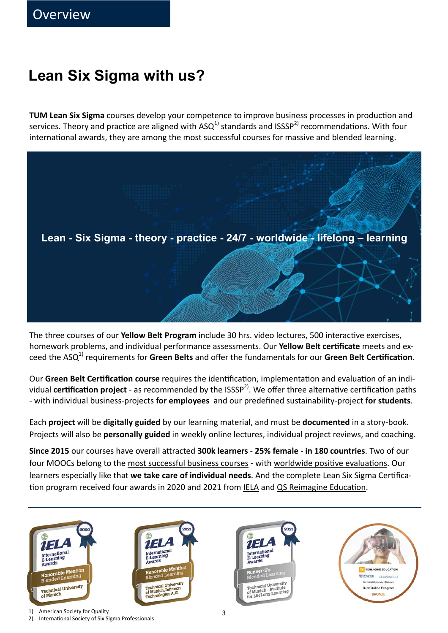# **Lean Six Sigma with us?**

**TUM Lean Six Sigma** courses develop your competence to improve business processes in production and services. Theory and practice are aligned with  $ASQ<sup>1</sup>$  standards and ISSSP<sup>2)</sup> recommendations. With four international awards, they are among the most successful courses for massive and blended learning.



The three courses of our **Yellow Belt Program** include 30 hrs. video lectures, 500 interactive exercises, homework problems, and individual performance assessments. Our Yellow Belt certificate meets and exceed the ASQ<sup>1)</sup> requirements for Green Belts and offer the fundamentals for our Green Belt Certification.

Our Green Belt Certification course requires the identification, implementation and evaluation of an individual **certification project** - as recommended by the ISSSP<sup>2)</sup>. We offer three alternative certification paths - with individual business-projects **for employees** and our predefined sustainability-project **for students**.

Each **project** will be **digitally guided** by our learning material, and must be **documented** in a story-book. Projects will also be **personally guided** in weekly online lectures, individual project reviews, and coaching.

**Since 2015** our courses have overall aƩracted **300k learners** - **25% female** - **in 180 countries**. Two of our four MOOCs belong to the most successful business courses - with worldwide positive evaluations. Our learners especially like that we take care of individual needs. And the complete Lean Six Sigma Certification program received four awards in 2020 and 2021 from IELA and QS Reimagine Education.

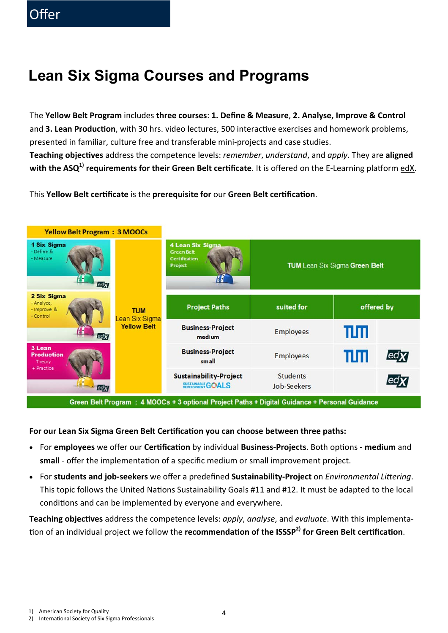# **Lean Six Sigma Courses and Programs**

The **Yellow Belt Program** includes **three courses**: **1. Define & Measure**, **2. Analyse, Improve & Control**  and **3. Lean Production**, with 30 hrs. video lectures, 500 interactive exercises and homework problems, presented in familiar, culture free and transferable mini-projects and case studies. **Teaching objecƟves** address the competence levels: *remember*, *understand*, and *apply*. They are **aligned**  with the ASQ<sup>1</sup> requirements for their Green Belt certificate. It is offered on the E-Learning platform edX.

This **Yellow Belt cerƟficate** is the **prerequisite for** our **Green Belt cerƟficaƟon**.



Green Belt Program : 4 MOOCs + 3 optional Project Paths + Digital Guidance + Personal Guidance

### For our Lean Six Sigma Green Belt Certification you can choose between three paths:

- For **employees** we offer our **CerƟficaƟon** by individual **Business-Projects**. Both opƟons **medium** and **small** - offer the implementation of a specific medium or small improvement project.
- For **students and job-seekers** we offer a predefined **Sustainability-Project** on *Environmental LiƩering*. This topic follows the United Nations Sustainability Goals #11 and #12. It must be adapted to the local conditions and can be implemented by everyone and everywhere.

**Teaching objecƟves** address the competence levels: *apply*, *analyse*, and *evaluate*. With this implementation of an individual project we follow the **recommendation of the ISSSP<sup>2)</sup> for Green Belt certification**.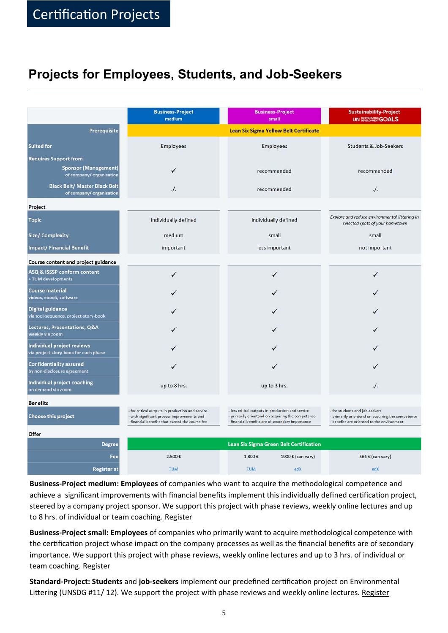## **Projects for Employees, Students, and Job-Seekers**

|                                                                                        | <b>Business-Project</b><br>medium                                                                                                                  | <b>Business-Project</b><br>small                                                                                                                                                                                                                                                              | <b>Sustainability-Project</b><br><b>UN SUSTAINABLE GOALS</b>                     |  |  |
|----------------------------------------------------------------------------------------|----------------------------------------------------------------------------------------------------------------------------------------------------|-----------------------------------------------------------------------------------------------------------------------------------------------------------------------------------------------------------------------------------------------------------------------------------------------|----------------------------------------------------------------------------------|--|--|
| <b>Prerequisite</b>                                                                    | <b>Lean Six Sigma Yellow Belt Certificate</b>                                                                                                      |                                                                                                                                                                                                                                                                                               |                                                                                  |  |  |
| <b>Suited for</b>                                                                      | Employees                                                                                                                                          | Employees                                                                                                                                                                                                                                                                                     | <b>Students &amp; Job-Seekers</b>                                                |  |  |
| <b>Requires Support from</b><br><b>Sponsor (Management)</b><br>of company/organisation |                                                                                                                                                    | recommended                                                                                                                                                                                                                                                                                   | recommended                                                                      |  |  |
| <b>Black Belt/ Master Black Belt</b><br>of company/organisation                        | $\cdot$ .                                                                                                                                          | recommended                                                                                                                                                                                                                                                                                   | $\cdot$ /.                                                                       |  |  |
| Project                                                                                |                                                                                                                                                    |                                                                                                                                                                                                                                                                                               |                                                                                  |  |  |
| <b>Topic</b>                                                                           | individually defined                                                                                                                               | individually defined                                                                                                                                                                                                                                                                          | Explore and reduce environmental littering in<br>selected spots of your hometown |  |  |
| <b>Size/ Complexity</b>                                                                | medium                                                                                                                                             | small                                                                                                                                                                                                                                                                                         | small                                                                            |  |  |
| <b>Impact/Financial Benefit</b>                                                        | important                                                                                                                                          | less important                                                                                                                                                                                                                                                                                | not important                                                                    |  |  |
| Course content and project guidance                                                    |                                                                                                                                                    |                                                                                                                                                                                                                                                                                               |                                                                                  |  |  |
| ASQ & ISSSP conform content<br>+ TUM developments                                      |                                                                                                                                                    | ✓                                                                                                                                                                                                                                                                                             |                                                                                  |  |  |
| <b>Course material</b><br>videos, ebook, software                                      |                                                                                                                                                    |                                                                                                                                                                                                                                                                                               |                                                                                  |  |  |
| <b>Digital guidance</b><br>via tool-sequence, project-story-book                       |                                                                                                                                                    |                                                                                                                                                                                                                                                                                               |                                                                                  |  |  |
| Lectures, Presentations, Q&A<br>weekly via zoom                                        |                                                                                                                                                    |                                                                                                                                                                                                                                                                                               |                                                                                  |  |  |
| Individual project reviews<br>via project-story-book for each phase                    |                                                                                                                                                    |                                                                                                                                                                                                                                                                                               |                                                                                  |  |  |
| <b>Confidentiality assured</b><br>by non-disclosure agreement                          |                                                                                                                                                    |                                                                                                                                                                                                                                                                                               |                                                                                  |  |  |
| Individual project coaching<br>on demand via zoom                                      | up to 8 hrs.                                                                                                                                       | up to 3 hrs.                                                                                                                                                                                                                                                                                  | $\cdot$ .                                                                        |  |  |
| <b>Benefits</b>                                                                        |                                                                                                                                                    |                                                                                                                                                                                                                                                                                               |                                                                                  |  |  |
| <b>Choose this project</b>                                                             | - for critical outputs in production and service<br>- with significant process improvements and<br>- financial benefits that exceed the course fee | - less critical outputs in production and service<br>- for students and job-seekers<br>- primarily orientend on acquiring the competence<br>- primarily orientend on acquiring the competence<br>- financial benefits are of secondary importance<br>benefits are oriented to the environment |                                                                                  |  |  |
| <b>Offer</b>                                                                           |                                                                                                                                                    |                                                                                                                                                                                                                                                                                               |                                                                                  |  |  |
| <b>Degree</b>                                                                          |                                                                                                                                                    | <b>Lean Six Sigma Green Belt Certification</b>                                                                                                                                                                                                                                                |                                                                                  |  |  |
| Fee                                                                                    | 2.500€                                                                                                                                             | 1.800€<br>1900 € (can vary)                                                                                                                                                                                                                                                                   | 566 € (can vary)                                                                 |  |  |
| <b>Register at</b>                                                                     | <b>TUM</b>                                                                                                                                         | <b>TUM</b><br>edX                                                                                                                                                                                                                                                                             | edX                                                                              |  |  |

**Business-Project medium: Employees** of companies who want to acquire the methodological competence and achieve a significant improvements with financial benefits implement this individually defined certification project, steered by a company project sponsor. We support this project with phase reviews, weekly online lectures and up to 8 hrs. of individual or team coaching. Register

**Business-Project small: Employees** of companies who primarily want to acquire methodological competence with the certification project whose impact on the company processes as well as the financial benefits are of secondary importance. We support this project with phase reviews, weekly online lectures and up to 3 hrs. of individual or team coaching. Register

**Standard-Project: Students** and **job-seekers** implement our predefined cerƟficaƟon project on Environmental Littering (UNSDG #11/ 12). We support the project with phase reviews and weekly online lectures. Register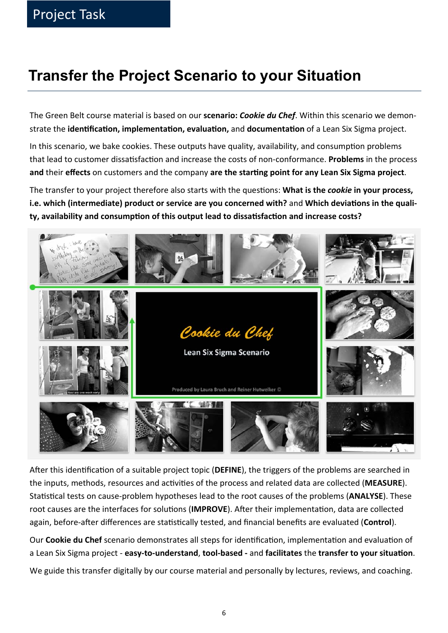# **Transfer the Project Scenario to your Situation**

The Green Belt course material is based on our **scenario:** *Cookie du Chef*. Within this scenario we demonstrate the **idenƟficaƟon, implementaƟon, evaluaƟon,** and **documentaƟon** of a Lean Six Sigma project.

In this scenario, we bake cookies. These outputs have quality, availability, and consumption problems that lead to customer dissatisfaction and increase the costs of non-conformance. **Problems** in the process and their effects on customers and the company are the starting point for any Lean Six Sigma project.

The transfer to your project therefore also starts with the questions: What is the *cookie* in your process, i.e. which (intermediate) product or service are you concerned with? and Which deviations in the quality, availability and consumption of this output lead to dissatisfaction and increase costs?



After this identification of a suitable project topic (**DEFINE**), the triggers of the problems are searched in the inputs, methods, resources and activities of the process and related data are collected (MEASURE). Statistical tests on cause-problem hypotheses lead to the root causes of the problems (**ANALYSE**). These root causes are the interfaces for solutions (IMPROVE). After their implementation, data are collected again, before-after differences are statistically tested, and financial benefits are evaluated (Control).

Our **Cookie du Chef** scenario demonstrates all steps for identification, implementation and evaluation of a Lean Six Sigma project - **easy-to-understand**, **tool-based -** and **facilitates** the **transfer to your situaƟon**.

We guide this transfer digitally by our course material and personally by lectures, reviews, and coaching.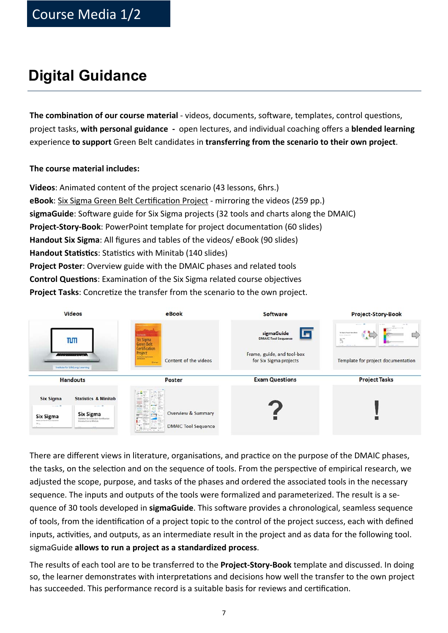# **Digital Guidance**

**The combination of our course material** - videos, documents, software, templates, control questions, project tasks, **with personal guidance -** open lectures, and individual coaching offers a **blended learning** experience **to support** Green Belt candidates in **transferring from the scenario to their own project**.

### **The course material includes:**

**Videos**: Animated content of the project scenario (43 lessons, 6hrs.) eBook: Six Sigma Green Belt Certification Project - mirroring the videos (259 pp.) sigmaGuide: Software guide for Six Sigma projects (32 tools and charts along the DMAIC) **Project-Story-Book**: PowerPoint template for project documentation (60 slides) **Handout Six Sigma**: All figures and tables of the videos/ eBook (90 slides) **Handout Statistics**: Statistics with Minitab (140 slides) **Project Poster**: Overview guide with the DMAIC phases and related tools **Control Questions**: Examination of the Six Sigma related course objectives **Project Tasks:** Concretize the transfer from the scenario to the own project.

| <b>Videos</b>                                                                                                                                                                                                                             | eBook                                                                                                                                | <b>Software</b>                                                                                        | <b>Project-Story-Book</b>                                                                                                                  |
|-------------------------------------------------------------------------------------------------------------------------------------------------------------------------------------------------------------------------------------------|--------------------------------------------------------------------------------------------------------------------------------------|--------------------------------------------------------------------------------------------------------|--------------------------------------------------------------------------------------------------------------------------------------------|
| TLMT<br><b><i>CONTRACTORS</i></b><br>Institute for LifeLong Learning                                                                                                                                                                      | an handa<br>Six Sigma<br>Green Belt<br>Certification<br>Project<br><b>Großelle Hylenmen</b><br>Content of the videos<br><b>China</b> | sigmaGuide<br>La<br><b>DMAIC Tool Sequence</b><br>Frame, guide, and tool-box<br>for Six Sigma projects | <b>Miller Mc</b><br><b>CALCOM</b><br>CD.<br><b>By Taplia Project Burg Brook</b><br>Similar and<br>57<br>Template for project documentation |
| <b>Handouts</b>                                                                                                                                                                                                                           | <b>Poster</b>                                                                                                                        | <b>Exam Questions</b>                                                                                  | <b>Project Tasks</b>                                                                                                                       |
| <b>Statistics &amp; Minitab</b><br><b>Six Sigma</b><br>----<br><b>Six Sigma</b><br><b>Six Sigma</b><br>Statistics for Green Brit Contification<br>fermed and firm in the case managers<br><b>International late And Advertising</b><br>m. | $-10$<br>Overview & Summary<br><b>DMAIC Tool Sequence</b><br><b>Marine Press</b>                                                     |                                                                                                        |                                                                                                                                            |

There are different views in literature, organisations, and practice on the purpose of the DMAIC phases, the tasks, on the selection and on the sequence of tools. From the perspective of empirical research, we adjusted the scope, purpose, and tasks of the phases and ordered the associated tools in the necessary sequence. The inputs and outputs of the tools were formalized and parameterized. The result is a sequence of 30 tools developed in **sigmaGuide**. This software provides a chronological, seamless sequence of tools, from the identification of a project topic to the control of the project success, each with defined inputs, activities, and outputs, as an intermediate result in the project and as data for the following tool. sigmaGuide **allows to run a project as a standardized process**.

The results of each tool are to be transferred to the **Project-Story-Book** template and discussed. In doing so, the learner demonstrates with interpretations and decisions how well the transfer to the own project has succeeded. This performance record is a suitable basis for reviews and certification.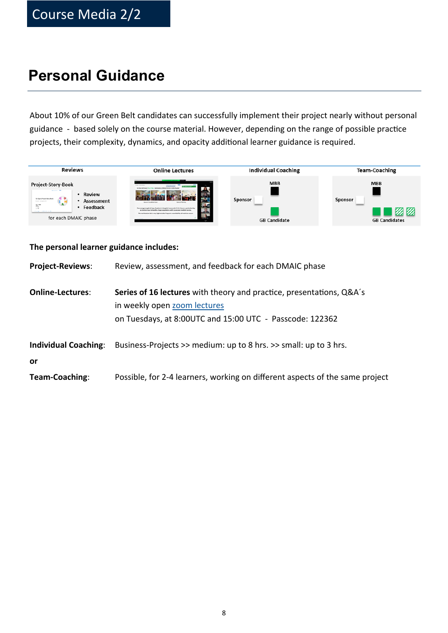# **Personal Guidance**

About 10% of our Green Belt candidates can successfully implement their project nearly without personal guidance - based solely on the course material. However, depending on the range of possible practice projects, their complexity, dynamics, and opacity additional learner guidance is required.

![](_page_7_Picture_3.jpeg)

| The personal learner guidance includes: |  |  |  |
|-----------------------------------------|--|--|--|
|-----------------------------------------|--|--|--|

| <b>Project-Reviews:</b>           | Review, assessment, and feedback for each DMAIC phase                                                                                                            |
|-----------------------------------|------------------------------------------------------------------------------------------------------------------------------------------------------------------|
| <b>Online-Lectures:</b>           | Series of 16 lectures with theory and practice, presentations, Q&A's<br>in weekly open zoom lectures<br>on Tuesdays, at 8:00UTC and 15:00 UTC - Passcode: 122362 |
| <b>Individual Coaching:</b><br>or | Business-Projects >> medium: up to 8 hrs. >> small: up to 3 hrs.                                                                                                 |
| Team-Coaching:                    | Possible, for 2-4 learners, working on different aspects of the same project                                                                                     |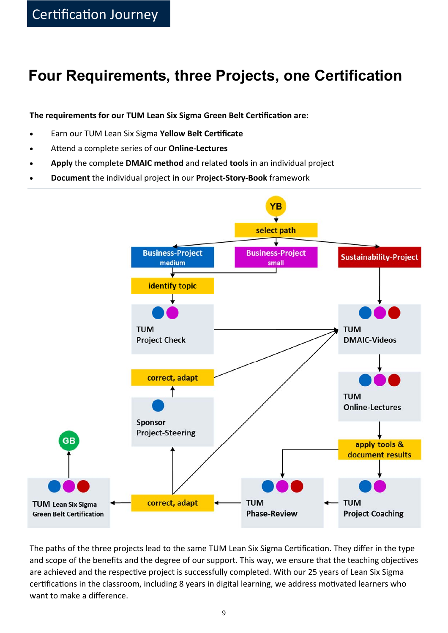# **Four Requirements, three Projects, one Certification**

**The requirements for our TUM Lean Six Sigma Green Belt Certification are:** 

- **Earn our TUM Lean Six Sigma Yellow Belt Certificate**
- AƩend a complete series of our **Online-Lectures**
- **Apply** the complete **DMAIC method** and related **tools** in an individual project
- **Document** the individual project **in** our **Project-Story-Book** framework

![](_page_8_Figure_7.jpeg)

The paths of the three projects lead to the same TUM Lean Six Sigma Certification. They differ in the type and scope of the benefits and the degree of our support. This way, we ensure that the teaching objectives are achieved and the respective project is successfully completed. With our 25 years of Lean Six Sigma certifications in the classroom, including 8 years in digital learning, we address motivated learners who want to make a difference.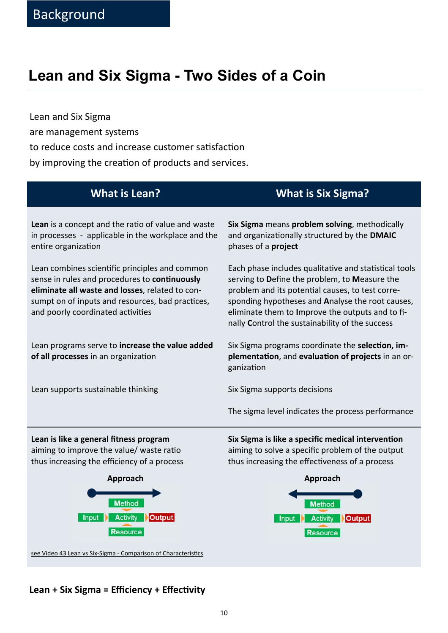# **Lean and Six Sigma - Two Sides of a Coin**

Lean and Six Sigma are management systems to reduce costs and increase customer satisfaction by improving the creation of products and services.

Lean is a concept and the ratio of value and waste in processes - applicable in the workplace and the entire organization

Lean combines scientific principles and common sense in rules and procedures to **continuously eliminate all waste and losses**, related to consumpt on of inputs and resources, bad practices, and poorly coordinated activities

Lean programs serve to **increase the value added of all processes** in an organization

Lean supports sustainable thinking

### **What is Lean? What is Six Sigma?**

**Six Sigma** means **problem solving**, methodically and organizationally structured by the **DMAIC** phases of a **project**

Each phase includes qualitative and statistical tools serving to **D**efine the problem, to **M**easure the problem and its potential causes, to test corresponding hypotheses and **A**nalyse the root causes, eliminate them to **I**mprove the outputs and to finally **C**ontrol the sustainability of the success

Six Sigma programs coordinate the **selection**, im**plementaƟon**, and **evaluaƟon of projects** in an organizaƟon

Six Sigma supports decisions

The sigma level indicates the process performance

**Lean is like a general fitness program** aiming to improve the value/ waste ratio thus increasing the efficiency of a process

![](_page_9_Figure_15.jpeg)

see Video 43 Lean vs Six-Sigma - Comparison of Characteristics

**Six Sigma is like a specific medical intervention** aiming to solve a specific problem of the output thus increasing the effectiveness of a process

![](_page_9_Figure_18.jpeg)

### Lean + Six Sigma = Efficiency + Effectivity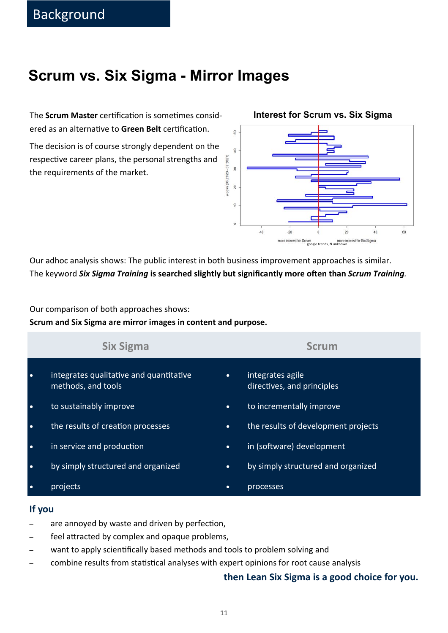# **Scrum vs. Six Sigma - Mirror Images**

The **Scrum Master** certification is sometimes considered as an alternative to Green Belt certification.

The decision is of course strongly dependent on the respective career plans, the personal strengths and the requirements of the market.

![](_page_10_Figure_4.jpeg)

### **Interest for Scrum vs. Six Sigma**

Our adhoc analysis shows: The public interest in both business improvement approaches is similar. The keyword *Six Sigma Training* is searched slightly but significantly more often than *Scrum Training*.

Our comparison of both approaches shows:

**Scrum and Six Sigma are mirror images in content and purpose.** 

|           | <b>Six Sigma</b>                                              |           | <b>Scrum</b>                                   |
|-----------|---------------------------------------------------------------|-----------|------------------------------------------------|
| $\bullet$ | integrates qualitative and quantitative<br>methods, and tools | $\bullet$ | integrates agile<br>directives, and principles |
| $\bullet$ | to sustainably improve                                        | $\bullet$ | to incrementally improve                       |
| $\bullet$ | the results of creation processes                             | $\bullet$ | the results of development projects            |
| $\bullet$ | in service and production                                     | $\bullet$ | in (software) development                      |
| $\bullet$ | by simply structured and organized                            | $\bullet$ | by simply structured and organized             |
| $\bullet$ | projects                                                      | $\bullet$ | processes                                      |

### **If you**

- are annoyed by waste and driven by perfection,
- − feel attracted by complex and opaque problems,
- want to apply scientifically based methods and tools to problem solving and
- combine results from statistical analyses with expert opinions for root cause analysis

### **then Lean Six Sigma is a good choice for you.**